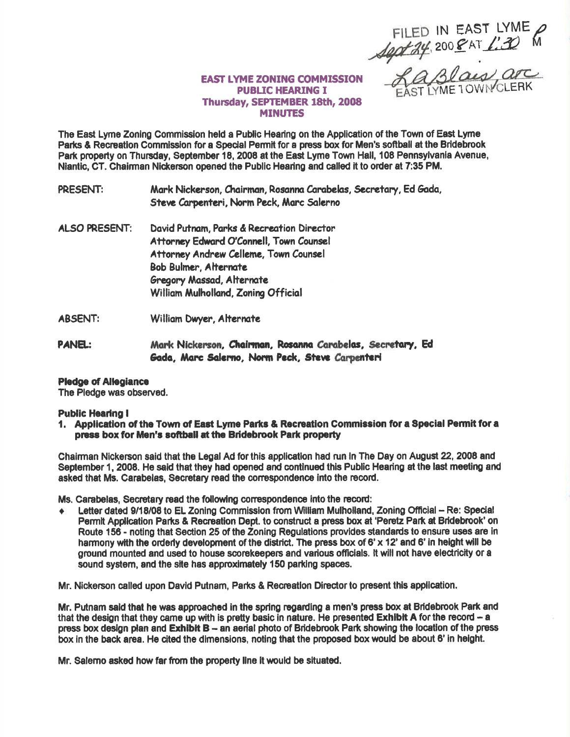FILED IN EAST LYME<br>1901-24, 2008 AT 1:30 M

## **EAST LYME ZONING COMMISSION PUBLIC HEARING I** Thursday, SEPTEMBER 18th, 2008 **MINUTES**

The East Lyme Zoning Commission held a Public Hearing on the Application of the Town of East Lyme Parks & Recreation Commission for a Special Permit for a press box for Men's softball at the Bridebrook Park property on Thursday, September 18, 2008 at the East Lyme Town Hall, 108 Pennsylvania Avenue, Niantic, CT, Chairman Nickerson opened the Public Hearing and called it to order at 7:35 PM.

PRESENT: Mark Nickerson, Chairman, Rosanna Carabelas, Secretary, Ed Gada, Steve Carpenteri, Norm Peck, Marc Salerno

- **ALSO PRESENT:** David Putnam, Parks & Recreation Director Attorney Edward O'Connell, Town Counsel Attorney Andrew Celleme, Town Counsel **Bob Bulmer, Alternate Gregory Massad, Alternate** William Mulholland, Zoning Official
- **ABSENT:** William Dwyer, Alternate
- **PANEL:** Mark Nickerson, Chairman, Rosanna Carabelas, Secretary, Ed. Gada, Marc Salerno, Norm Peck, Steve Carpenteri

## **Pledge of Allegiance**

The Pledge was observed.

## **Public Hearing I**

1. Application of the Town of East Lyme Parks & Recreation Commission for a Special Permit for a press box for Men's softball at the Bridebrook Park property

Chairman Nickerson said that the Legal Ad for this application had run in The Day on August 22, 2008 and September 1, 2008. He said that they had opened and continued this Public Hearing at the last meeting and asked that Ms. Carabelas, Secretary read the correspondence into the record.

Ms. Carabelas, Secretary read the following correspondence into the record:

Letter dated 9/18/08 to EL Zoning Commission from William Mulholland, Zoning Official -- Re: Special Permit Application Parks & Recreation Dept, to construct a press box at 'Peretz Park at Bridebrook' on Route 156 - noting that Section 25 of the Zoning Regulations provides standards to ensure uses are in harmony with the orderly development of the district. The press box of 6' x 12' and 6' in height will be ground mounted and used to house scorekeepers and various officials. It will not have electricity or a sound system, and the site has approximately 150 parking spaces.

Mr. Nickerson called upon David Putnam, Parks & Recreation Director to present this application.

Mr. Putnam said that he was approached in the spring regarding a men's press box at Bridebrook Park and that the design that they came up with is pretty basic in nature. He presented **Exhibit A** for the record  $-$  a press box design plan and Exhibit B - an aerial photo of Bridebrook Park showing the location of the press box in the back area. He cited the dimensions, noting that the proposed box would be about 6' in height.

Mr. Salemo asked how far from the property line it would be situated.